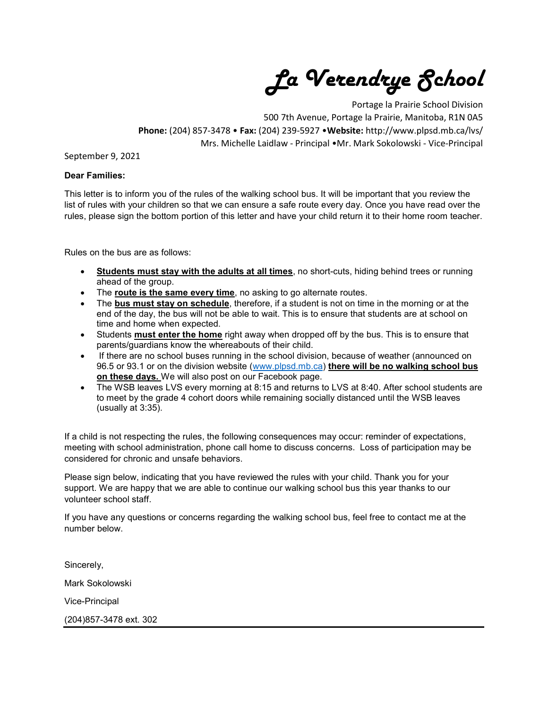La Verendrye School

Portage la Prairie School Division 500 7th Avenue, Portage la Prairie, Manitoba, R1N 0A5 Phone: (204) 857-3478 • Fax: (204) 239-5927 •Website: http://www.plpsd.mb.ca/lvs/ Mrs. Michelle Laidlaw - Principal •Mr. Mark Sokolowski - Vice-Principal

## September 9, 2021

## Dear Families:

This letter is to inform you of the rules of the walking school bus. It will be important that you review the list of rules with your children so that we can ensure a safe route every day. Once you have read over the rules, please sign the bottom portion of this letter and have your child return it to their home room teacher.

Rules on the bus are as follows:

- Students must stay with the adults at all times, no short-cuts, hiding behind trees or running ahead of the group.
- The route is the same every time, no asking to go alternate routes.
- The bus must stay on schedule, therefore, if a student is not on time in the morning or at the end of the day, the bus will not be able to wait. This is to ensure that students are at school on time and home when expected.
- Students must enter the home right away when dropped off by the bus. This is to ensure that parents/guardians know the whereabouts of their child.
- If there are no school buses running in the school division, because of weather (announced on 96.5 or 93.1 or on the division website (www.plpsd.mb.ca) there will be no walking school bus on these days. We will also post on our Facebook page.
- The WSB leaves LVS every morning at 8:15 and returns to LVS at 8:40. After school students are to meet by the grade 4 cohort doors while remaining socially distanced until the WSB leaves (usually at 3:35).

If a child is not respecting the rules, the following consequences may occur: reminder of expectations, meeting with school administration, phone call home to discuss concerns. Loss of participation may be considered for chronic and unsafe behaviors.

Please sign below, indicating that you have reviewed the rules with your child. Thank you for your support. We are happy that we are able to continue our walking school bus this year thanks to our volunteer school staff.

If you have any questions or concerns regarding the walking school bus, feel free to contact me at the number below.

Sincerely, Mark Sokolowski Vice-Principal (204)857-3478 ext. 302